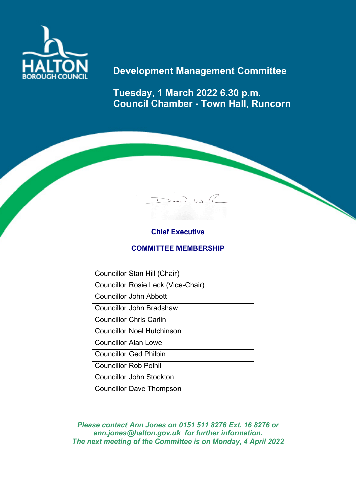

# **Development Management Committee**

**Tuesday, 1 March 2022 6.30 p.m. Council Chamber - Town Hall, Runcorn**

 $D$ avid WR

## **Chief Executive**

## **COMMITTEE MEMBERSHIP**

Councillor Stan Hill (Chair)

Councillor Rosie Leck (Vice-Chair)

Councillor John Abbott

Councillor John Bradshaw

Councillor Chris Carlin

Councillor Noel Hutchinson

Councillor Alan Lowe

Councillor Ged Philbin

Councillor Rob Polhill

Councillor John Stockton

Councillor Dave Thompson

*Please contact Ann Jones on 0151 511 8276 Ext. 16 8276 or ann.jones@halton.gov.uk for further information. The next meeting of the Committee is on Monday, 4 April 2022*